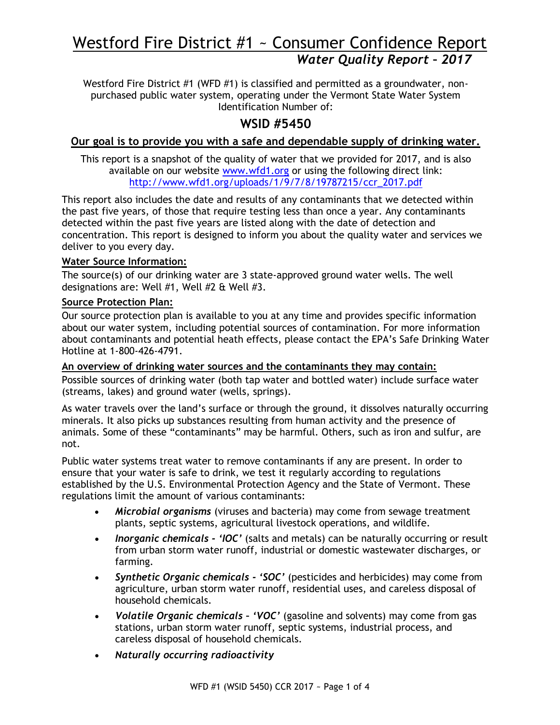# Westford Fire District #1 ~ Consumer Confidence Report *Water Quality Report – 2017*

Westford Fire District #1 (WFD #1) is classified and permitted as a groundwater, nonpurchased public water system, operating under the Vermont State Water System Identification Number of:

# **WSID #5450**

## **Our goal is to provide you with a safe and dependable supply of drinking water.**

This report is a snapshot of the quality of water that we provided for 2017, and is also available on our website [www.wfd1.org](http://www.wfd1.org/) or using the following direct link: [http://www.wfd1.org/uploads/1/9/7/8/19787215/ccr\\_2017.pdf](http://www.wfd1.org/uploads/1/9/7/8/19787215/ccr_2017.pdf)

This report also includes the date and results of any contaminants that we detected within the past five years, of those that require testing less than once a year. Any contaminants detected within the past five years are listed along with the date of detection and concentration. This report is designed to inform you about the quality water and services we deliver to you every day.

#### **Water Source Information:**

The source(s) of our drinking water are 3 state-approved ground water wells. The well designations are: Well #1, Well #2 & Well #3.

## **Source Protection Plan:**

Our source protection plan is available to you at any time and provides specific information about our water system, including potential sources of contamination. For more information about contaminants and potential heath effects, please contact the EPA's Safe Drinking Water Hotline at 1-800-426-4791.

**An overview of drinking water sources and the contaminants they may contain:** Possible sources of drinking water (both tap water and bottled water) include surface water (streams, lakes) and ground water (wells, springs).

As water travels over the land's surface or through the ground, it dissolves naturally occurring minerals. It also picks up substances resulting from human activity and the presence of animals. Some of these "contaminants" may be harmful. Others, such as iron and sulfur, are not.

Public water systems treat water to remove contaminants if any are present. In order to ensure that your water is safe to drink, we test it regularly according to regulations established by the U.S. Environmental Protection Agency and the State of Vermont. These regulations limit the amount of various contaminants:

- *Microbial organisms* (viruses and bacteria) may come from sewage treatment plants, septic systems, agricultural livestock operations, and wildlife.
- *Inorganic chemicals - 'IOC'* (salts and metals) can be naturally occurring or result from urban storm water runoff, industrial or domestic wastewater discharges, or farming.
- *Synthetic Organic chemicals - 'SOC'* (pesticides and herbicides) may come from agriculture, urban storm water runoff, residential uses, and careless disposal of household chemicals.
- *Volatile Organic chemicals – 'VOC'* (gasoline and solvents) may come from gas stations, urban storm water runoff, septic systems, industrial process, and careless disposal of household chemicals.
- *Naturally occurring radioactivity*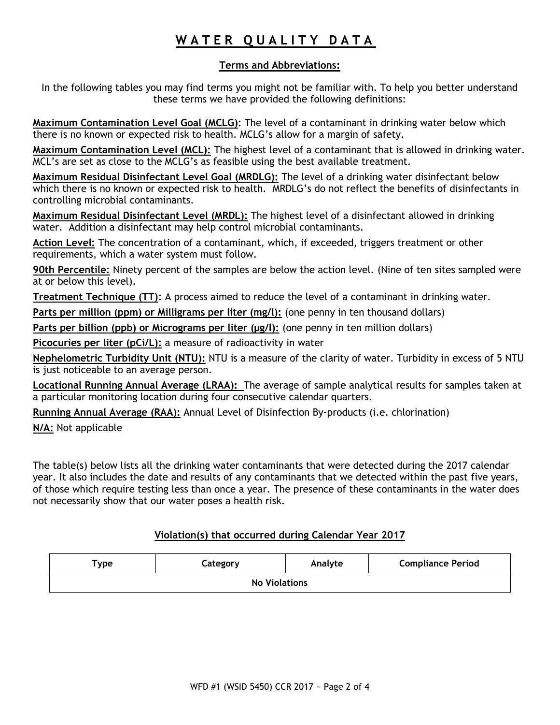# WATER QUALITY DATA

## **Terms and Abbreviations:**

In the following tables you may find terms you might not be familiar with. To help you better understand these terms we have provided the following definitions:

**Maximum Contamination Level Goal (MCLG):** The level of a contaminant in drinking water below which there is no known or expected risk to health. MCLG's allow for a margin of safety.

**Maximum Contamination Level (MCL):** The highest level of a contaminant that is allowed in drinking water. MCL's are set as close to the MCLG's as feasible using the best available treatment.

**Maximum Residual Disinfectant Level Goal (MRDLG):** The level of a drinking water disinfectant below which there is no known or expected risk to health. MRDLG's do not reflect the benefits of disinfectants in controlling microbial contaminants.

**Maximum Residual Disinfectant Level (MRDL):** The highest level of a disinfectant allowed in drinking water. Addition a disinfectant may help control microbial contaminants.

**Action Level:** The concentration of a contaminant, which, if exceeded, triggers treatment or other requirements, which a water system must follow.

**90th Percentile:** Ninety percent of the samples are below the action level. (Nine of ten sites sampled were at or below this level).

**Treatment Technique (TT):** A process aimed to reduce the level of a contaminant in drinking water.

Parts per million (ppm) or Milligrams per liter (mg/l): (one penny in ten thousand dollars)

Parts per billion (ppb) or Micrograms per liter (µg/l): (one penny in ten million dollars)

**Picocuries per liter (pCi/L):** a measure of radioactivity in water

**Nephelometric Turbidity Unit (NTU):** NTU is a measure of the clarity of water. Turbidity in excess of 5 NTU is just noticeable to an average person.

**Locational Running Annual Average (LRAA):** The average of sample analytical results for samples taken at a particular monitoring location during four consecutive calendar quarters.

**Running Annual Average (RAA):** Annual Level of Disinfection By-products (i.e. chlorination)

**N/A:** Not applicable

The table(s) below lists all the drinking water contaminants that were detected during the 2017 calendar year. It also includes the date and results of any contaminants that we detected within the past five years, of those which require testing less than once a year. The presence of these contaminants in the water does not necessarily show that our water poses a health risk.

## **Violation(s) that occurred during Calendar Year 2017**

| $\mathsf{Type}$      | Category | Analyte | <b>Compliance Period</b> |  |  |  |  |
|----------------------|----------|---------|--------------------------|--|--|--|--|
| <b>No Violations</b> |          |         |                          |  |  |  |  |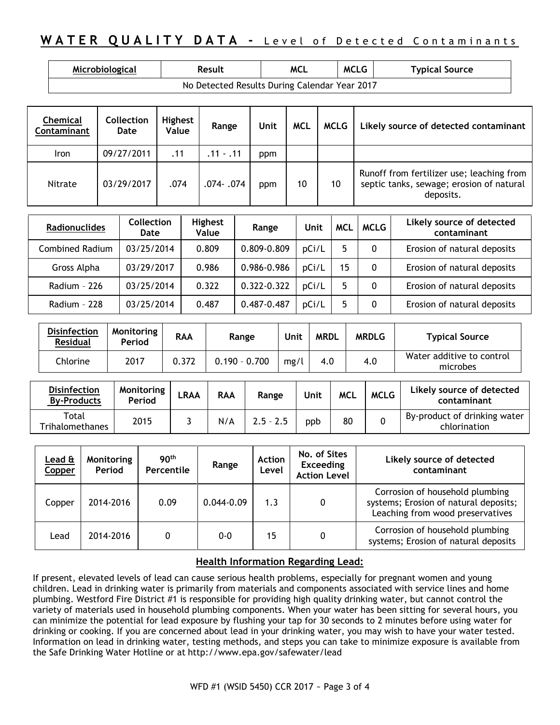# **WATER QUALITY DATA - Level of Detected Contaminants**

| Microbiological                               | <b>Result</b> | MCL | <b>MCLG</b> | <b>Typical Source</b> |  |  |  |  |
|-----------------------------------------------|---------------|-----|-------------|-----------------------|--|--|--|--|
| No Detected Results During Calendar Year 2017 |               |     |             |                       |  |  |  |  |

| Chemical<br><b>Contaminant</b> | <b>Collection</b><br>Date | <b>Highest</b><br>Value | Range       | Unit | <b>MCL</b> | MCLG | Likely source of detected contaminant                                                              |
|--------------------------------|---------------------------|-------------------------|-------------|------|------------|------|----------------------------------------------------------------------------------------------------|
| <b>Iron</b>                    | 09/27/2011                | .11                     | $.11 - .11$ | ppm  |            |      |                                                                                                    |
| Nitrate                        | 03/29/2017                | .074                    | .074- .074  | ppm  | 10         | 10   | Runoff from fertilizer use; leaching from<br>septic tanks, sewage; erosion of natural<br>deposits. |

| Radionuclides          | <b>Collection</b><br>Date | <b>Highest</b><br>Value | Range       | Unit  | <b>MCL</b> | <b>MCLG</b> | Likely source of detected<br>contaminant |
|------------------------|---------------------------|-------------------------|-------------|-------|------------|-------------|------------------------------------------|
| <b>Combined Radium</b> | 03/25/2014                | 0.809                   | 0.809-0.809 | pCi/L |            | 0           | Erosion of natural deposits              |
| Gross Alpha            | 03/29/2017                | 0.986                   | 0.986-0.986 | pCi/L | 15         | 0           | Erosion of natural deposits              |
| Radium - 226           | 03/25/2014                | 0.322                   | 0.322-0.322 | pCi/L |            | 0           | Erosion of natural deposits              |
| Radium - 228           | 03/25/2014                | 0.487                   | 0.487-0.487 | pCi/L |            | 0           | Erosion of natural deposits              |

| <b>Disinfection</b><br><b>Residual</b> | Monitoring<br>Period | <b>RAA</b> | Range           | Unit | <b>MRDL</b> | <b>MRDLG</b> | <b>Typical Source</b>                 |
|----------------------------------------|----------------------|------------|-----------------|------|-------------|--------------|---------------------------------------|
| Chlorine                               | 2017                 | 0.372      | $0.190 - 0.700$ | mg/l | 4.0         | 4.0          | Water additive to control<br>microbes |

| <b>Disinfection</b><br><b>By-Products</b> | <b>Monitoring</b><br>Period | ∟RAA | <b>RAA</b> | Range       | Unit | <b>MCL</b> | <b>MCLG</b> | Likely source of detected<br>contaminant     |
|-------------------------------------------|-----------------------------|------|------------|-------------|------|------------|-------------|----------------------------------------------|
| Total<br><b>Trihalomethanes</b>           | 2015                        |      | N/A        | $2.5 - 2.5$ | ppb  | 80         |             | By-product of drinking water<br>chlorination |

| Lead &<br>Copper | Monitoring<br>Period | 90 <sup>th</sup><br>Percentile | Range          | <b>Action</b><br>Level | No. of Sites<br><b>Exceeding</b><br><b>Action Level</b> | Likely source of detected<br>contaminant                                                                     |
|------------------|----------------------|--------------------------------|----------------|------------------------|---------------------------------------------------------|--------------------------------------------------------------------------------------------------------------|
| Copper           | 2014-2016            | 0.09                           | $0.044 - 0.09$ | 1.3                    | 0                                                       | Corrosion of household plumbing<br>systems; Erosion of natural deposits;<br>Leaching from wood preservatives |
| Lead             | 2014-2016            | 0                              | $0 - 0$        | 15                     |                                                         | Corrosion of household plumbing<br>systems; Erosion of natural deposits                                      |

#### **Health Information Regarding Lead:**

If present, elevated levels of lead can cause serious health problems, especially for pregnant women and young children. Lead in drinking water is primarily from materials and components associated with service lines and home plumbing. Westford Fire District #1 is responsible for providing high quality drinking water, but cannot control the variety of materials used in household plumbing components. When your water has been sitting for several hours, you can minimize the potential for lead exposure by flushing your tap for 30 seconds to 2 minutes before using water for drinking or cooking. If you are concerned about lead in your drinking water, you may wish to have your water tested. Information on lead in drinking water, testing methods, and steps you can take to minimize exposure is available from the Safe Drinking Water Hotline or at <http://www.epa.gov/safewater/lead>